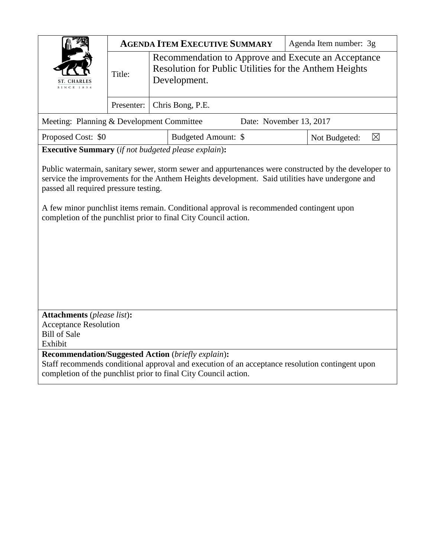|                                                                                                                                                                                                                                                                                                                                                                                                               | <b>AGENDA ITEM EXECUTIVE SUMMARY</b> |                                                                                                                               |                     | Agenda Item number: 3g |                              |
|---------------------------------------------------------------------------------------------------------------------------------------------------------------------------------------------------------------------------------------------------------------------------------------------------------------------------------------------------------------------------------------------------------------|--------------------------------------|-------------------------------------------------------------------------------------------------------------------------------|---------------------|------------------------|------------------------------|
| N C E 1 8 3 4                                                                                                                                                                                                                                                                                                                                                                                                 | Title:                               | Recommendation to Approve and Execute an Acceptance<br>Resolution for Public Utilities for the Anthem Heights<br>Development. |                     |                        |                              |
|                                                                                                                                                                                                                                                                                                                                                                                                               | Presenter:                           | Chris Bong, P.E.                                                                                                              |                     |                        |                              |
| Meeting: Planning & Development Committee<br>Date: November 13, 2017                                                                                                                                                                                                                                                                                                                                          |                                      |                                                                                                                               |                     |                        |                              |
| Proposed Cost: \$0                                                                                                                                                                                                                                                                                                                                                                                            |                                      |                                                                                                                               | Budgeted Amount: \$ |                        | $\boxtimes$<br>Not Budgeted: |
| <b>Executive Summary</b> (if not budgeted please explain):                                                                                                                                                                                                                                                                                                                                                    |                                      |                                                                                                                               |                     |                        |                              |
| Public watermain, sanitary sewer, storm sewer and appurtenances were constructed by the developer to<br>service the improvements for the Anthem Heights development. Said utilities have undergone and<br>passed all required pressure testing.<br>A few minor punchlist items remain. Conditional approval is recommended contingent upon<br>completion of the punchlist prior to final City Council action. |                                      |                                                                                                                               |                     |                        |                              |
| <b>Attachments</b> (please list):<br><b>Acceptance Resolution</b>                                                                                                                                                                                                                                                                                                                                             |                                      |                                                                                                                               |                     |                        |                              |
| <b>Bill of Sale</b>                                                                                                                                                                                                                                                                                                                                                                                           |                                      |                                                                                                                               |                     |                        |                              |
| Exhibit                                                                                                                                                                                                                                                                                                                                                                                                       |                                      |                                                                                                                               |                     |                        |                              |
| <b>Recommendation/Suggested Action (briefly explain):</b><br>Staff recommends conditional approval and execution of an acceptance resolution contingent upon<br>completion of the punchlist prior to final City Council action.                                                                                                                                                                               |                                      |                                                                                                                               |                     |                        |                              |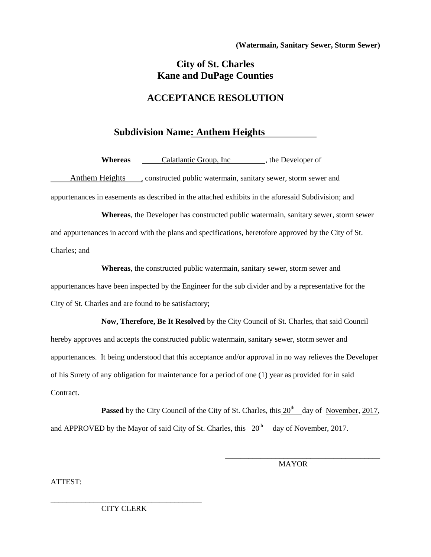## **City of St. Charles Kane and DuPage Counties**

## **ACCEPTANCE RESOLUTION**

## **Subdivision Name: Anthem Heights**

**Whereas Calatlantic Group, Inc** , the Developer of

Anthem Heights , constructed public watermain, sanitary sewer, storm sewer and appurtenances in easements as described in the attached exhibits in the aforesaid Subdivision; and

**Whereas**, the Developer has constructed public watermain, sanitary sewer, storm sewer and appurtenances in accord with the plans and specifications, heretofore approved by the City of St. Charles; and

**Whereas**, the constructed public watermain, sanitary sewer, storm sewer and appurtenances have been inspected by the Engineer for the sub divider and by a representative for the City of St. Charles and are found to be satisfactory;

**Now, Therefore, Be It Resolved** by the City Council of St. Charles, that said Council hereby approves and accepts the constructed public watermain, sanitary sewer, storm sewer and appurtenances. It being understood that this acceptance and/or approval in no way relieves the Developer of his Surety of any obligation for maintenance for a period of one (1) year as provided for in said **Contract** 

Passed by the City Council of the City of St. Charles, this  $20^{th}$  day of November, 2017, and APPROVED by the Mayor of said City of St. Charles, this  $20<sup>th</sup>$  day of November, 2017.

MAYOR

\_\_\_\_\_\_\_\_\_\_\_\_\_\_\_\_\_\_\_\_\_\_\_\_\_\_\_\_\_\_\_\_\_\_\_\_\_\_\_\_

ATTEST:

\_\_\_\_\_\_\_\_\_\_\_\_\_\_\_\_\_\_\_\_\_\_\_\_\_\_\_\_\_\_\_\_\_\_\_\_\_\_\_ CITY CLERK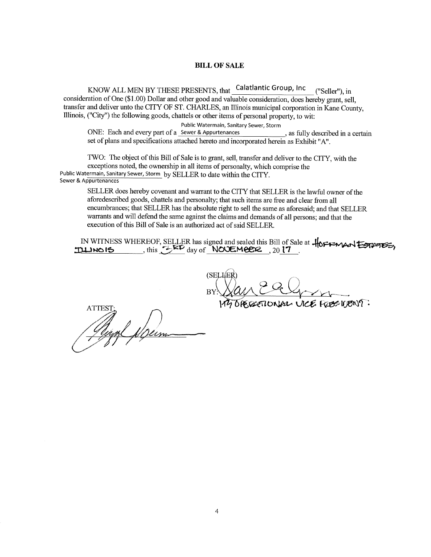## **BILL OF SALE**

KNOW ALL MEN BY THESE PRESENTS, that Calatlantic Group, Inc ("Seller"), in consideration of One (\$1.00) Dollar and other good and valuable consideration, does hereby grant, sell, transfer and deliver unto the CITY OF ST. CHARLES, an Illinois municipal corporation in Kane County. Illinois, ("City") the following goods, chattels or other items of personal property, to wit:

Public Watermain, Sanitary Sewer, Storm

ONE: Each and every part of a Sewer & Appurtenances , as fully described in a certain set of plans and specifications attached hereto and incorporated herein as Exhibit "A".

TWO: The object of this Bill of Sale is to grant, sell, transfer and deliver to the CITY, with the exceptions noted, the ownership in all items of personalty, which comprise the Public Watermain, Sanitary Sewer, Storm by SELLER to date within the CITY. Sewer & Appurtenances

SELLER does hereby covenant and warrant to the CITY that SELLER is the lawful owner of the aforedescribed goods, chattels and personalty; that such items are free and clear from all encumbrances; that SELLER has the absolute right to sell the same as aforesaid; and that SELLER warrants and will defend the same against the claims and demands of all persons; and that the execution of this Bill of Sale is an authorized act of said SELLER.

IN WITNESS WHEREOF, SELLER has signed and sealed this Bill of Sale at  $\frac{1}{10}$ FFMAN ESTATES,

(SELLE

IONAL UCE ROBELIENT:

Glyn Sein